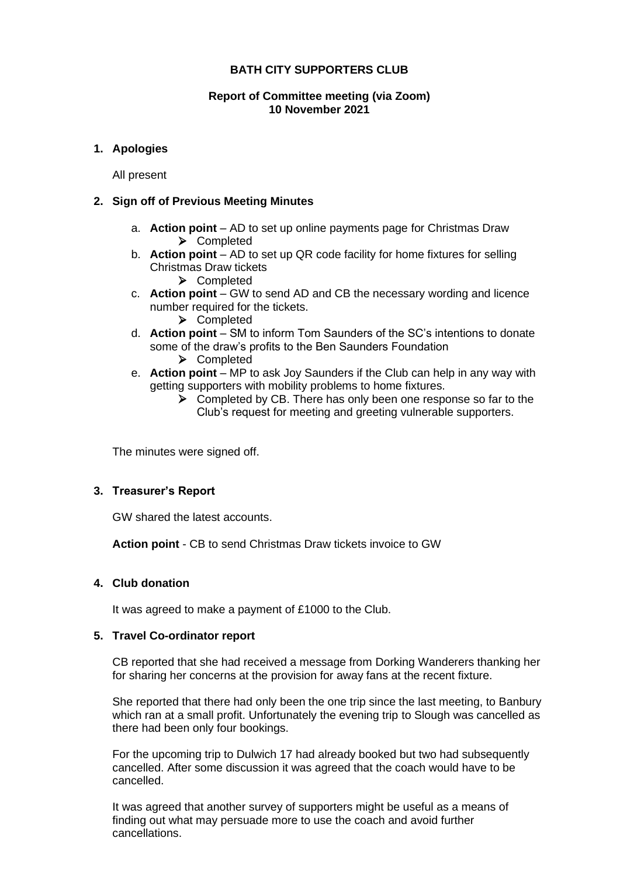# **BATH CITY SUPPORTERS CLUB**

## **Report of Committee meeting (via Zoom) 10 November 2021**

# **1. Apologies**

All present

## **2. Sign off of Previous Meeting Minutes**

- a. **Action point** AD to set up online payments page for Christmas Draw ➢ Completed
- b. **Action point** AD to set up QR code facility for home fixtures for selling Christmas Draw tickets
	- ➢ Completed
- c. **Action point** GW to send AD and CB the necessary wording and licence number required for the tickets.
	- ➢ Completed
- d. **Action point** SM to inform Tom Saunders of the SC's intentions to donate some of the draw's profits to the Ben Saunders Foundation
	- ➢ Completed
- e. **Action point** MP to ask Joy Saunders if the Club can help in any way with getting supporters with mobility problems to home fixtures.
	- ➢ Completed by CB. There has only been one response so far to the Club's request for meeting and greeting vulnerable supporters.

The minutes were signed off.

# **3. Treasurer's Report**

GW shared the latest accounts.

**Action point** - CB to send Christmas Draw tickets invoice to GW

# **4. Club donation**

It was agreed to make a payment of £1000 to the Club.

#### **5. Travel Co-ordinator report**

CB reported that she had received a message from Dorking Wanderers thanking her for sharing her concerns at the provision for away fans at the recent fixture.

She reported that there had only been the one trip since the last meeting, to Banbury which ran at a small profit. Unfortunately the evening trip to Slough was cancelled as there had been only four bookings.

For the upcoming trip to Dulwich 17 had already booked but two had subsequently cancelled. After some discussion it was agreed that the coach would have to be cancelled.

It was agreed that another survey of supporters might be useful as a means of finding out what may persuade more to use the coach and avoid further cancellations.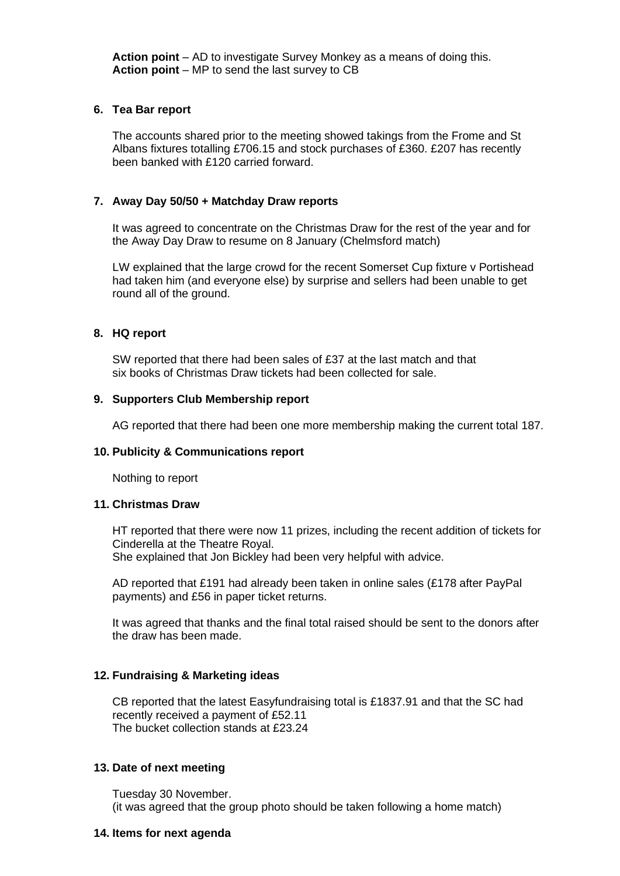**Action point** – AD to investigate Survey Monkey as a means of doing this. **Action point** – MP to send the last survey to CB

## **6. Tea Bar report**

The accounts shared prior to the meeting showed takings from the Frome and St Albans fixtures totalling £706.15 and stock purchases of £360. £207 has recently been banked with £120 carried forward.

# **7. Away Day 50/50 + Matchday Draw reports**

It was agreed to concentrate on the Christmas Draw for the rest of the year and for the Away Day Draw to resume on 8 January (Chelmsford match)

LW explained that the large crowd for the recent Somerset Cup fixture v Portishead had taken him (and everyone else) by surprise and sellers had been unable to get round all of the ground.

## **8. HQ report**

SW reported that there had been sales of £37 at the last match and that six books of Christmas Draw tickets had been collected for sale.

## **9. Supporters Club Membership report**

AG reported that there had been one more membership making the current total 187.

#### **10. Publicity & Communications report**

Nothing to report

#### **11. Christmas Draw**

HT reported that there were now 11 prizes, including the recent addition of tickets for Cinderella at the Theatre Royal.

She explained that Jon Bickley had been very helpful with advice.

AD reported that £191 had already been taken in online sales (£178 after PayPal payments) and £56 in paper ticket returns.

It was agreed that thanks and the final total raised should be sent to the donors after the draw has been made.

# **12. Fundraising & Marketing ideas**

CB reported that the latest Easyfundraising total is £1837.91 and that the SC had recently received a payment of £52.11 The bucket collection stands at £23.24

#### **13. Date of next meeting**

Tuesday 30 November. (it was agreed that the group photo should be taken following a home match)

#### **14. Items for next agenda**